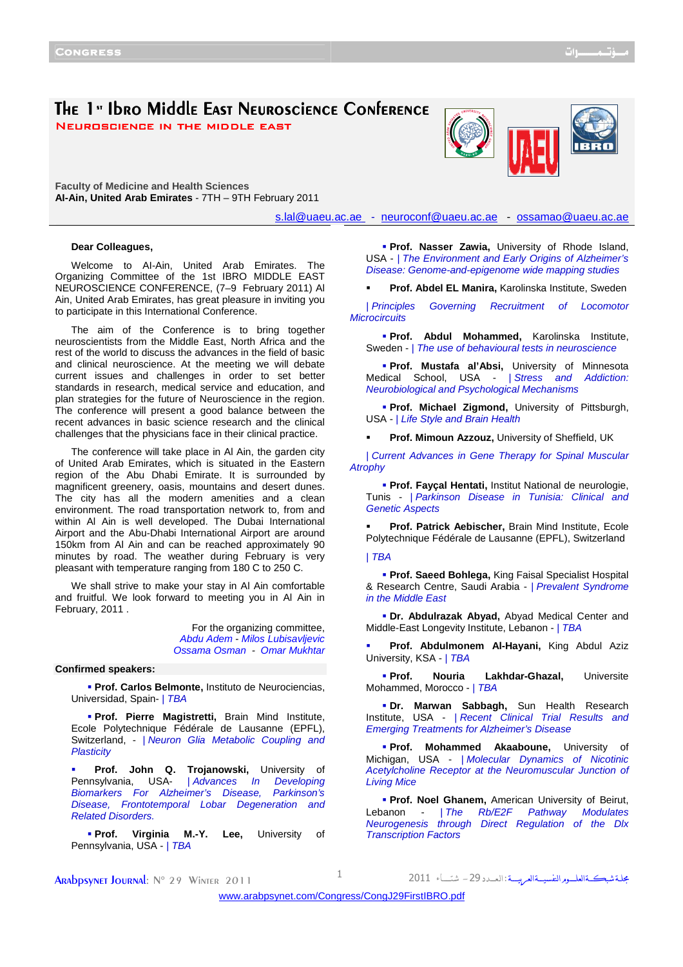# The 1<sup>s</sup> Ibro Middle East Neuroscience Conference

NEUROSCIENCE IN THE MIDDLE EAST

**Faculty of Medicine and Health Sciences AI-Ain, United Arab Emirates** - 7TH – 9TH February 2011

s.lal@uaeu.ac.ae - neuroconf@uaeu.ac.ae - ossamao@uaeu.ac.ae

#### **Dear Colleagues,**

Welcome to AI-Ain, United Arab Emirates. The Organizing Committee of the 1st IBRO MIDDLE EAST NEUROSCIENCE CONFERENCE, (7–9 February 2011) Al Ain, United Arab Emirates, has great pleasure in inviting you to participate in this International Conference.

The aim of the Conference is to bring together neuroscientists from the Middle East, North Africa and the rest of the world to discuss the advances in the field of basic and clinical neuroscience. At the meeting we will debate current issues and challenges in order to set better standards in research, medical service and education, and plan strategies for the future of Neuroscience in the region. The conference will present a good balance between the recent advances in basic science research and the clinical challenges that the physicians face in their clinical practice.

The conference will take place in Al Ain, the garden city of United Arab Emirates, which is situated in the Eastern region of the Abu Dhabi Emirate. It is surrounded by magnificent greenery, oasis, mountains and desert dunes. The city has all the modern amenities and a clean environment. The road transportation network to, from and within Al Ain is well developed. The Dubai International Airport and the Abu-Dhabi International Airport are around 150km from Al Ain and can be reached approximately 90 minutes by road. The weather during February is very pleasant with temperature ranging from 180 C to 250 C.

We shall strive to make your stay in Al Ain comfortable and fruitful. We look forward to meeting you in Al Ain in February, 2011 .

> For the organizing committee, Abdu Adem - Milos Lubisavljevic Ossama Osman - Omar Mukhtar

### **Confirmed speakers:**

 **Prof. Carlos Belmonte,** Instituto de Neurociencias, Universidad, Spain- | TBA

 **Prof. Pierre Magistretti,** Brain Mind Institute, Ecole Polytechnique Fédérale de Lausanne (EPFL), Switzerland, - | Neuron Glia Metabolic Coupling and **Plasticity** 

 **Prof. John Q. Trojanowski,** University of Pennsylvania, USA- | Advances In Developing Biomarkers For Alzheimer's Disease, Parkinson's Disease, Frontotemporal Lobar Degeneration and Related Disorders.

**Prof. Virginia M.-Y. Lee,** University of Pennsylvania, USA - | TBA

**Prof. Nasser Zawia, University of Rhode Island,** USA - | The Environment and Early Origins of Alzheimer's Disease: Genome-and-epigenome wide mapping studies

**Prof. Abdel EL Manira,** Karolinska Institute, Sweden

| Principles Governing Recruitment of Locomotor **Microcircuits** 

 **Prof. Abdul Mohammed,** Karolinska Institute, Sweden - | The use of behavioural tests in neuroscience

 **Prof. Mustafa al'Absi,** University of Minnesota Medical School, USA - | Stress and Addiction: Neurobiological and Psychological Mechanisms

 **Prof. Michael Zigmond,** University of Pittsburgh, USA - | Life Style and Brain Health

**Prof. Mimoun Azzouz,** University of Sheffield, UK

| Current Advances in Gene Therapy for Spinal Muscular **Atrophy** 

 **Prof. Fayçal Hentati,** Institut National de neurologie, Tunis - | Parkinson Disease in Tunisia: Clinical and Genetic Aspects

 **Prof. Patrick Aebischer,** Brain Mind Institute, Ecole Polytechnique Fédérale de Lausanne (EPFL), Switzerland

| TBA

 **Prof. Saeed Bohlega,** King Faisal Specialist Hospital & Research Centre, Saudi Arabia - | Prevalent Syndrome in the Middle East

 **Dr. Abdulrazak Abyad,** Abyad Medical Center and Middle-East Longevity Institute, Lebanon - | TBA

 **Prof. Abdulmonem Al-Hayani,** King Abdul Aziz University, KSA - | TBA

 **Prof. Nouria Lakhdar-Ghazal,** Universite Mohammed, Morocco - | TBA

 **Dr. Marwan Sabbagh,** Sun Health Research Institute, USA - | Recent Clinical Trial Results and Emerging Treatments for Alzheimer's Disease

 **Prof. Mohammed Akaaboune,** University of Michigan, USA - | Molecular Dynamics of Nicotinic Acetylcholine Receptor at the Neuromuscular Junction of Living Mice

 **Prof. Noel Ghanem,** American University of Beirut, Lebanon - | The Rb/E2F Pathway Modulates Neurogenesis through Direct Regulation of the Dlx Transcription Factors

مجلة شبكةالعلــوم النفسيــةالعربيـــة : ال

**ARADPSYNET JOURNAL:**  $N^{\circ}$  29 Winter 2011 1

<www.arabpsynet.com/Congress/CongJ29FirstIBRO.pdf>